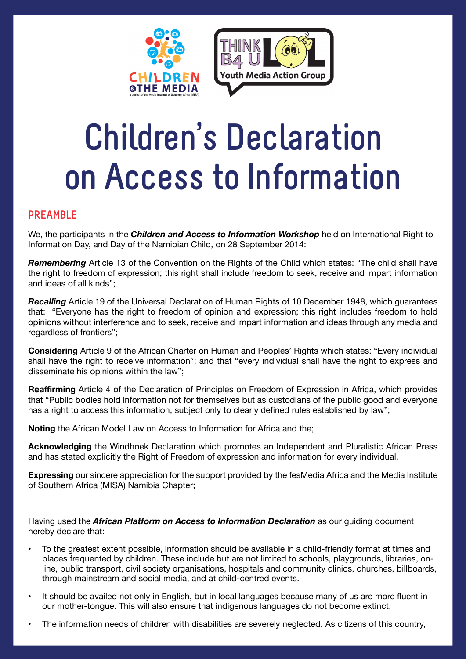



# **Children's Declaration on Access to Information**

### **PREAMBLE**

We, the participants in the *Children and Access to Information Workshop* held on International Right to Information Day, and Day of the Namibian Child, on 28 September 2014:

*Remembering* Article 13 of the Convention on the Rights of the Child which states: "The child shall have the right to freedom of expression; this right shall include freedom to seek, receive and impart information and ideas of all kinds";

*Recalling* Article 19 of the Universal Declaration of Human Rights of 10 December 1948, which guarantees that: "Everyone has the right to freedom of opinion and expression; this right includes freedom to hold opinions without interference and to seek, receive and impart information and ideas through any media and regardless of frontiers";

**Considering** Article 9 of the African Charter on Human and Peoples' Rights which states: "Every individual shall have the right to receive information"; and that "every individual shall have the right to express and disseminate his opinions within the law";

**Reaffirming** Article 4 of the Declaration of Principles on Freedom of Expression in Africa, which provides that "Public bodies hold information not for themselves but as custodians of the public good and everyone has a right to access this information, subject only to clearly defined rules established by law";

**Noting** the African Model Law on Access to Information for Africa and the;

**Acknowledging** the Windhoek Declaration which promotes an Independent and Pluralistic African Press and has stated explicitly the Right of Freedom of expression and information for every individual.

**Expressing** our sincere appreciation for the support provided by the fesMedia Africa and the Media Institute of Southern Africa (MISA) Namibia Chapter;

Having used the *African Platform on Access to Information Declaration* as our guiding document hereby declare that:

- To the greatest extent possible, information should be available in a child-friendly format at times and places frequented by children. These include but are not limited to schools, playgrounds, libraries, online, public transport, civil society organisations, hospitals and community clinics, churches, billboards, through mainstream and social media, and at child-centred events.
- It should be availed not only in English, but in local languages because many of us are more fluent in our mother-tongue. This will also ensure that indigenous languages do not become extinct.
- The information needs of children with disabilities are severely neglected. As citizens of this country,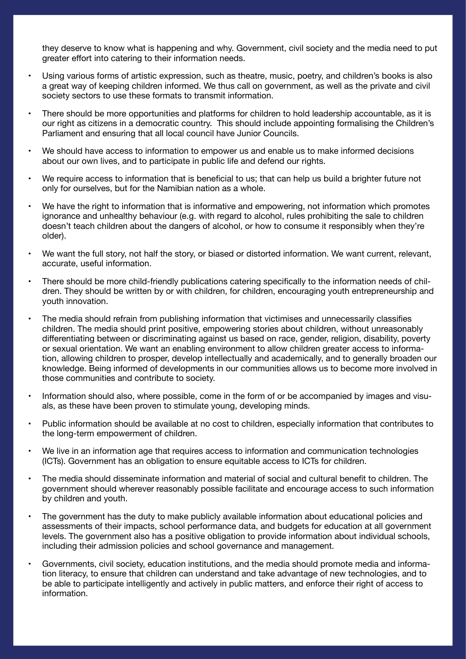they deserve to know what is happening and why. Government, civil society and the media need to put greater effort into catering to their information needs.

- Using various forms of artistic expression, such as theatre, music, poetry, and children's books is also a great way of keeping children informed. We thus call on government, as well as the private and civil society sectors to use these formats to transmit information.
- There should be more opportunities and platforms for children to hold leadership accountable, as it is our right as citizens in a democratic country. This should include appointing formalising the Children's Parliament and ensuring that all local council have Junior Councils.
- We should have access to information to empower us and enable us to make informed decisions about our own lives, and to participate in public life and defend our rights.
- We require access to information that is beneficial to us; that can help us build a brighter future not only for ourselves, but for the Namibian nation as a whole.
- We have the right to information that is informative and empowering, not information which promotes ignorance and unhealthy behaviour (e.g. with regard to alcohol, rules prohibiting the sale to children doesn't teach children about the dangers of alcohol, or how to consume it responsibly when they're older).
- We want the full story, not half the story, or biased or distorted information. We want current, relevant, accurate, useful information.
- There should be more child-friendly publications catering specifically to the information needs of children. They should be written by or with children, for children, encouraging youth entrepreneurship and youth innovation.
- The media should refrain from publishing information that victimises and unnecessarily classifies children. The media should print positive, empowering stories about children, without unreasonably differentiating between or discriminating against us based on race, gender, religion, disability, poverty or sexual orientation. We want an enabling environment to allow children greater access to information, allowing children to prosper, develop intellectually and academically, and to generally broaden our knowledge. Being informed of developments in our communities allows us to become more involved in those communities and contribute to society.
- Information should also, where possible, come in the form of or be accompanied by images and visuals, as these have been proven to stimulate young, developing minds.
- Public information should be available at no cost to children, especially information that contributes to the long-term empowerment of children.
- We live in an information age that requires access to information and communication technologies (ICTs). Government has an obligation to ensure equitable access to ICTs for children.
- The media should disseminate information and material of social and cultural benefit to children. The government should wherever reasonably possible facilitate and encourage access to such information by children and youth.
- The government has the duty to make publicly available information about educational policies and assessments of their impacts, school performance data, and budgets for education at all government levels. The government also has a positive obligation to provide information about individual schools, including their admission policies and school governance and management.
- Governments, civil society, education institutions, and the media should promote media and information literacy, to ensure that children can understand and take advantage of new technologies, and to be able to participate intelligently and actively in public matters, and enforce their right of access to information.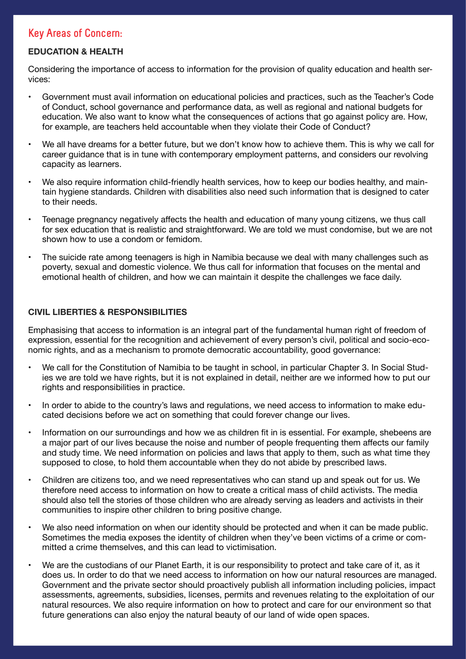## **Key Areas of Concern:**

#### **EDUCATION & HEALTH**

Considering the importance of access to information for the provision of quality education and health services:

- Government must avail information on educational policies and practices, such as the Teacher's Code of Conduct, school governance and performance data, as well as regional and national budgets for education. We also want to know what the consequences of actions that go against policy are. How, for example, are teachers held accountable when they violate their Code of Conduct?
- We all have dreams for a better future, but we don't know how to achieve them. This is why we call for career guidance that is in tune with contemporary employment patterns, and considers our revolving capacity as learners.
- We also require information child-friendly health services, how to keep our bodies healthy, and maintain hygiene standards. Children with disabilities also need such information that is designed to cater to their needs.
- Teenage pregnancy negatively affects the health and education of many young citizens, we thus call for sex education that is realistic and straightforward. We are told we must condomise, but we are not shown how to use a condom or femidom.
- The suicide rate among teenagers is high in Namibia because we deal with many challenges such as poverty, sexual and domestic violence. We thus call for information that focuses on the mental and emotional health of children, and how we can maintain it despite the challenges we face daily.

#### **CIVIL LIBERTIES & RESPONSIBILITIES**

Emphasising that access to information is an integral part of the fundamental human right of freedom of expression, essential for the recognition and achievement of every person's civil, political and socio-economic rights, and as a mechanism to promote democratic accountability, good governance:

- We call for the Constitution of Namibia to be taught in school, in particular Chapter 3. In Social Studies we are told we have rights, but it is not explained in detail, neither are we informed how to put our rights and responsibilities in practice.
- In order to abide to the country's laws and regulations, we need access to information to make educated decisions before we act on something that could forever change our lives.
- Information on our surroundings and how we as children fit in is essential. For example, shebeens are a major part of our lives because the noise and number of people frequenting them affects our family and study time. We need information on policies and laws that apply to them, such as what time they supposed to close, to hold them accountable when they do not abide by prescribed laws.
- Children are citizens too, and we need representatives who can stand up and speak out for us. We therefore need access to information on how to create a critical mass of child activists. The media should also tell the stories of those children who are already serving as leaders and activists in their communities to inspire other children to bring positive change.
- We also need information on when our identity should be protected and when it can be made public. Sometimes the media exposes the identity of children when they've been victims of a crime or committed a crime themselves, and this can lead to victimisation.
- We are the custodians of our Planet Earth, it is our responsibility to protect and take care of it, as it does us. In order to do that we need access to information on how our natural resources are managed. Government and the private sector should proactively publish all information including policies, impact assessments, agreements, subsidies, licenses, permits and revenues relating to the exploitation of our natural resources. We also require information on how to protect and care for our environment so that future generations can also enjoy the natural beauty of our land of wide open spaces.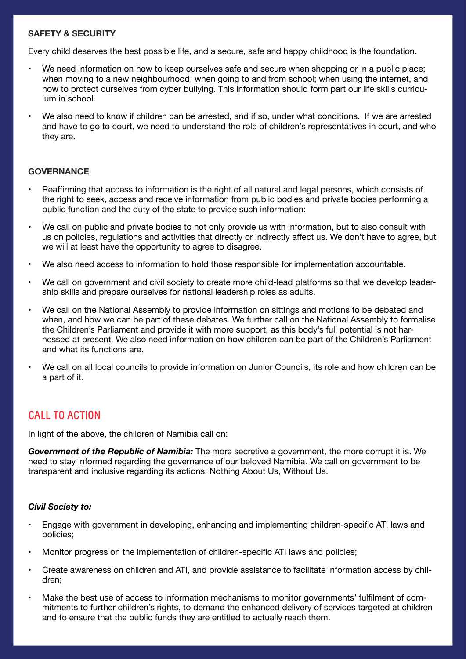#### **SAFETY & SECURITY**

Every child deserves the best possible life, and a secure, safe and happy childhood is the foundation.

- We need information on how to keep ourselves safe and secure when shopping or in a public place; when moving to a new neighbourhood; when going to and from school; when using the internet, and how to protect ourselves from cyber bullying. This information should form part our life skills curriculum in school.
- We also need to know if children can be arrested, and if so, under what conditions. If we are arrested and have to go to court, we need to understand the role of children's representatives in court, and who they are.

#### **GOVERNANCE**

- Reaffirming that access to information is the right of all natural and legal persons, which consists of the right to seek, access and receive information from public bodies and private bodies performing a public function and the duty of the state to provide such information:
- We call on public and private bodies to not only provide us with information, but to also consult with us on policies, regulations and activities that directly or indirectly affect us. We don't have to agree, but we will at least have the opportunity to agree to disagree.
- We also need access to information to hold those responsible for implementation accountable.
- We call on government and civil society to create more child-lead platforms so that we develop leadership skills and prepare ourselves for national leadership roles as adults.
- We call on the National Assembly to provide information on sittings and motions to be debated and when, and how we can be part of these debates. We further call on the National Assembly to formalise the Children's Parliament and provide it with more support, as this body's full potential is not harnessed at present. We also need information on how children can be part of the Children's Parliament and what its functions are.
- We call on all local councils to provide information on Junior Councils, its role and how children can be a part of it.

## **CALL TO ACTION**

In light of the above, the children of Namibia call on:

*Government of the Republic of Namibia:* The more secretive a government, the more corrupt it is. We need to stay informed regarding the governance of our beloved Namibia. We call on government to be transparent and inclusive regarding its actions. Nothing About Us, Without Us.

#### *Civil Society to:*

- Engage with government in developing, enhancing and implementing children-specific ATI laws and policies;
- Monitor progress on the implementation of children-specific ATI laws and policies;
- Create awareness on children and ATI, and provide assistance to facilitate information access by children;
- Make the best use of access to information mechanisms to monitor governments' fulfilment of commitments to further children's rights, to demand the enhanced delivery of services targeted at children and to ensure that the public funds they are entitled to actually reach them.